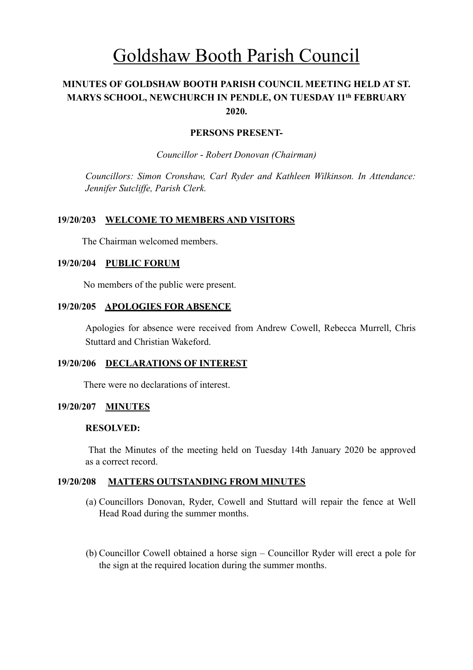# Goldshaw Booth Parish Council

## **MINUTES OF GOLDSHAW BOOTH PARISH COUNCIL MEETING HELD AT ST. MARYS SCHOOL, NEWCHURCH IN PENDLE, ON TUESDAY 11th FEBRUARY 2020.**

## **PERSONS PRESENT-**

*Councillor* - *Robert Donovan (Chairman)* 

*Councillors: Simon Cronshaw, Carl Ryder and Kathleen Wilkinson. In Attendance: Jennifer Sutcliffe, Parish Clerk.*

## **19/20/203 WELCOME TO MEMBERS AND VISITORS**

The Chairman welcomed members.

## **19/20/204 PUBLIC FORUM**

No members of the public were present.

#### **19/20/205 APOLOGIES FOR ABSENCE**

Apologies for absence were received from Andrew Cowell, Rebecca Murrell, Chris Stuttard and Christian Wakeford.

#### **19/20/206 DECLARATIONS OF INTEREST**

There were no declarations of interest.

#### **19/20/207 MINUTES**

#### **RESOLVED:**

 That the Minutes of the meeting held on Tuesday 14th January 2020 be approved as a correct record.

#### **19/20/208 MATTERS OUTSTANDING FROM MINUTES**

- (a) Councillors Donovan, Ryder, Cowell and Stuttard will repair the fence at Well Head Road during the summer months.
- (b) Councillor Cowell obtained a horse sign Councillor Ryder will erect a pole for the sign at the required location during the summer months.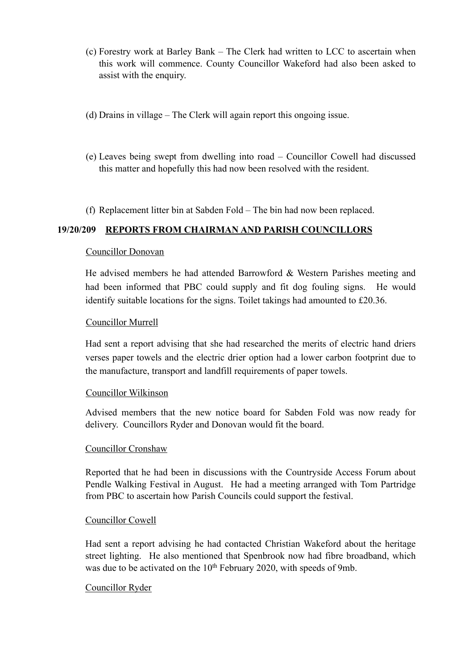- (c) Forestry work at Barley Bank The Clerk had written to LCC to ascertain when this work will commence. County Councillor Wakeford had also been asked to assist with the enquiry.
- (d) Drains in village The Clerk will again report this ongoing issue.
- (e) Leaves being swept from dwelling into road Councillor Cowell had discussed this matter and hopefully this had now been resolved with the resident.
- (f) Replacement litter bin at Sabden Fold The bin had now been replaced.

## **19/20/209 REPORTS FROM CHAIRMAN AND PARISH COUNCILLORS**

#### Councillor Donovan

He advised members he had attended Barrowford & Western Parishes meeting and had been informed that PBC could supply and fit dog fouling signs. He would identify suitable locations for the signs. Toilet takings had amounted to £20.36.

#### Councillor Murrell

 Had sent a report advising that she had researched the merits of electric hand driers verses paper towels and the electric drier option had a lower carbon footprint due to the manufacture, transport and landfill requirements of paper towels.

#### Councillor Wilkinson

 Advised members that the new notice board for Sabden Fold was now ready for delivery. Councillors Ryder and Donovan would fit the board.

#### Councillor Cronshaw

 Reported that he had been in discussions with the Countryside Access Forum about Pendle Walking Festival in August. He had a meeting arranged with Tom Partridge from PBC to ascertain how Parish Councils could support the festival.

#### Councillor Cowell

Had sent a report advising he had contacted Christian Wakeford about the heritage street lighting. He also mentioned that Spenbrook now had fibre broadband, which was due to be activated on the 10<sup>th</sup> February 2020, with speeds of 9mb.

#### Councillor Ryder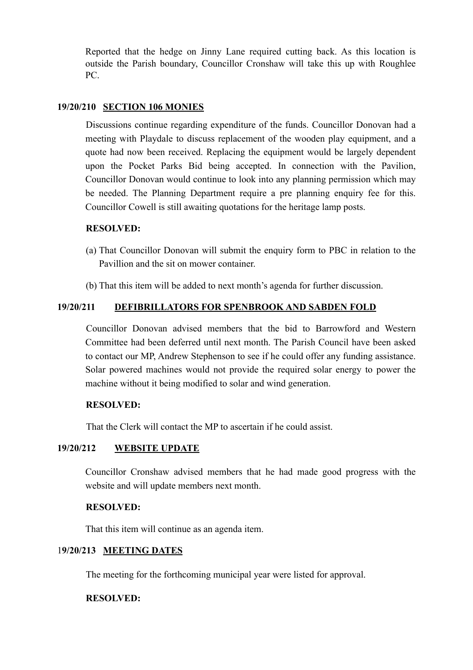Reported that the hedge on Jinny Lane required cutting back. As this location is outside the Parish boundary, Councillor Cronshaw will take this up with Roughlee PC.

### **19/20/210 SECTION 106 MONIES**

Discussions continue regarding expenditure of the funds. Councillor Donovan had a meeting with Playdale to discuss replacement of the wooden play equipment, and a quote had now been received. Replacing the equipment would be largely dependent upon the Pocket Parks Bid being accepted. In connection with the Pavilion, Councillor Donovan would continue to look into any planning permission which may be needed. The Planning Department require a pre planning enquiry fee for this. Councillor Cowell is still awaiting quotations for the heritage lamp posts.

#### **RESOLVED:**

- (a) That Councillor Donovan will submit the enquiry form to PBC in relation to the Pavillion and the sit on mower container.
- (b) That this item will be added to next month's agenda for further discussion.

## **19/20/211 DEFIBRILLATORS FOR SPENBROOK AND SABDEN FOLD**

Councillor Donovan advised members that the bid to Barrowford and Western Committee had been deferred until next month. The Parish Council have been asked to contact our MP, Andrew Stephenson to see if he could offer any funding assistance. Solar powered machines would not provide the required solar energy to power the machine without it being modified to solar and wind generation.

#### **RESOLVED:**

That the Clerk will contact the MP to ascertain if he could assist.

## **19/20/212 WEBSITE UPDATE**

Councillor Cronshaw advised members that he had made good progress with the website and will update members next month.

#### **RESOLVED:**

That this item will continue as an agenda item.

#### 1**9/20/213 MEETING DATES**

The meeting for the forthcoming municipal year were listed for approval.

#### **RESOLVED:**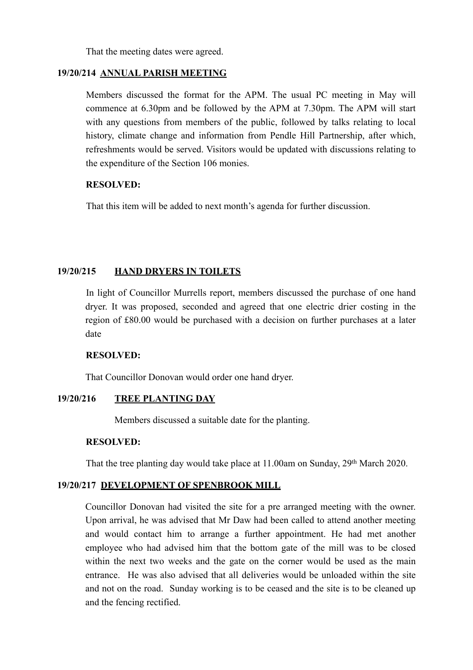That the meeting dates were agreed.

## **19/20/214 ANNUAL PARISH MEETING**

Members discussed the format for the APM. The usual PC meeting in May will commence at 6.30pm and be followed by the APM at 7.30pm. The APM will start with any questions from members of the public, followed by talks relating to local history, climate change and information from Pendle Hill Partnership, after which, refreshments would be served. Visitors would be updated with discussions relating to the expenditure of the Section 106 monies.

## **RESOLVED:**

That this item will be added to next month's agenda for further discussion.

## **19/20/215 HAND DRYERS IN TOILETS**

In light of Councillor Murrells report, members discussed the purchase of one hand dryer. It was proposed, seconded and agreed that one electric drier costing in the region of £80.00 would be purchased with a decision on further purchases at a later date

#### **RESOLVED:**

That Councillor Donovan would order one hand dryer.

## **19/20/216 TREE PLANTING DAY**

Members discussed a suitable date for the planting.

#### **RESOLVED:**

That the tree planting day would take place at 11.00am on Sunday, 29th March 2020.

## **19/20/217 DEVELOPMENT OF SPENBROOK MILL**

Councillor Donovan had visited the site for a pre arranged meeting with the owner. Upon arrival, he was advised that Mr Daw had been called to attend another meeting and would contact him to arrange a further appointment. He had met another employee who had advised him that the bottom gate of the mill was to be closed within the next two weeks and the gate on the corner would be used as the main entrance. He was also advised that all deliveries would be unloaded within the site and not on the road. Sunday working is to be ceased and the site is to be cleaned up and the fencing rectified.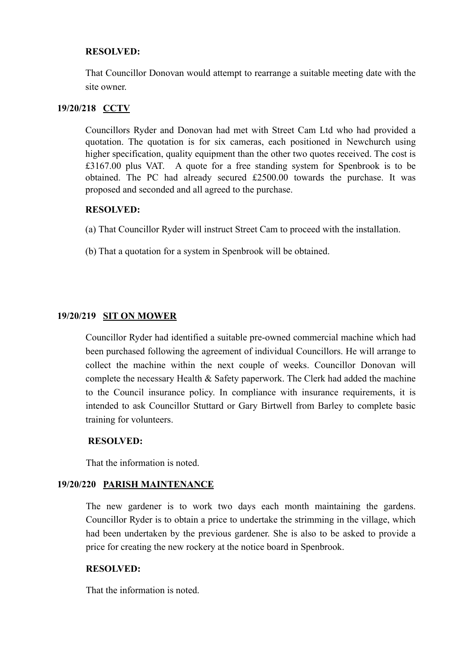## **RESOLVED:**

That Councillor Donovan would attempt to rearrange a suitable meeting date with the site owner.

## **19/20/218 CCTV**

Councillors Ryder and Donovan had met with Street Cam Ltd who had provided a quotation. The quotation is for six cameras, each positioned in Newchurch using higher specification, quality equipment than the other two quotes received. The cost is £3167.00 plus VAT. A quote for a free standing system for Spenbrook is to be obtained. The PC had already secured £2500.00 towards the purchase. It was proposed and seconded and all agreed to the purchase.

#### **RESOLVED:**

(a) That Councillor Ryder will instruct Street Cam to proceed with the installation.

(b) That a quotation for a system in Spenbrook will be obtained.

## **19/20/219 SIT ON MOWER**

Councillor Ryder had identified a suitable pre-owned commercial machine which had been purchased following the agreement of individual Councillors. He will arrange to collect the machine within the next couple of weeks. Councillor Donovan will complete the necessary Health & Safety paperwork. The Clerk had added the machine to the Council insurance policy. In compliance with insurance requirements, it is intended to ask Councillor Stuttard or Gary Birtwell from Barley to complete basic training for volunteers.

#### **RESOLVED:**

That the information is noted.

## **19/20/220 PARISH MAINTENANCE**

The new gardener is to work two days each month maintaining the gardens. Councillor Ryder is to obtain a price to undertake the strimming in the village, which had been undertaken by the previous gardener. She is also to be asked to provide a price for creating the new rockery at the notice board in Spenbrook.

#### **RESOLVED:**

That the information is noted.